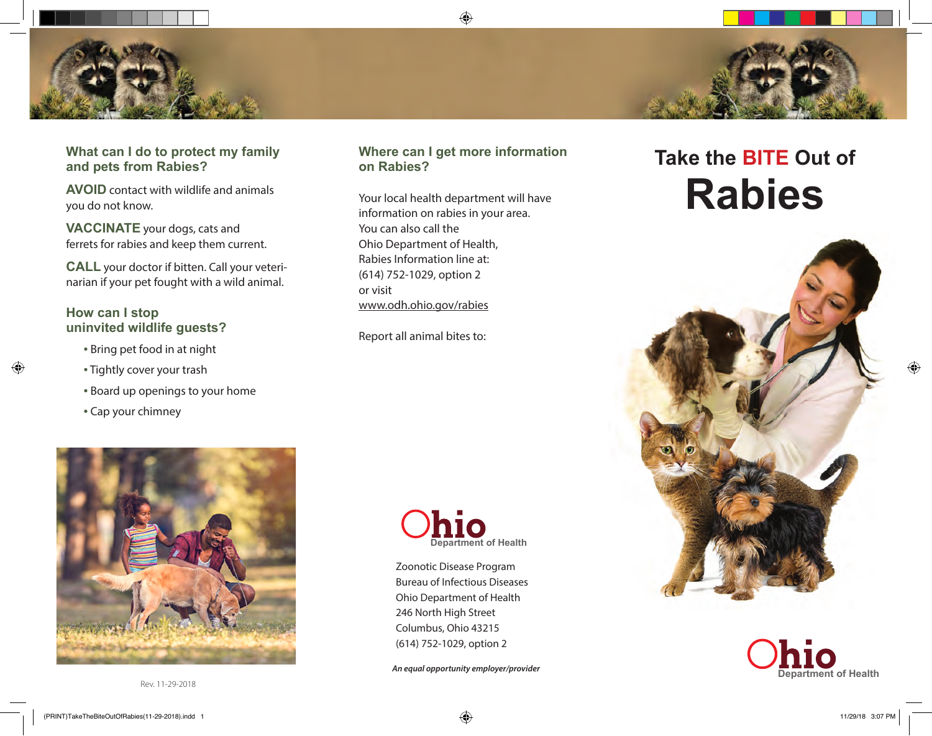## **What can I do to protect my family and pets from Rabies?**

**AVOID** contact with wildlife and animals you do not know.

**VACCINATE** your dogs, cats and ferrets for rabies and keep them current.

**CALL** your doctor if bitten. Call your veterinarian if your pet fought with a wild animal.

#### **How can I stop uninvited wildlife guests?**

- Bring pet food in at night
- Tightly cover your trash
- Board up openings to your home
- Cap your chimney



#### **Where can I get more information on Rabies?**

Your local health department will have information on rabies in your area. You can also call the Ohio Department of Health, Rabies Information line at: (614) 752-1029, option 2 or visit www.odh.ohio.gov/rabies

Report all animal bites to:



Zoonotic Disease Program Bureau of Infectious Diseases Ohio Department of Health 246 North High Street Columbus, Ohio 43215 (614) 752-1029, option 2

*An equal opportunity employer/provider*

# **Take the BITE Out of Rabies**